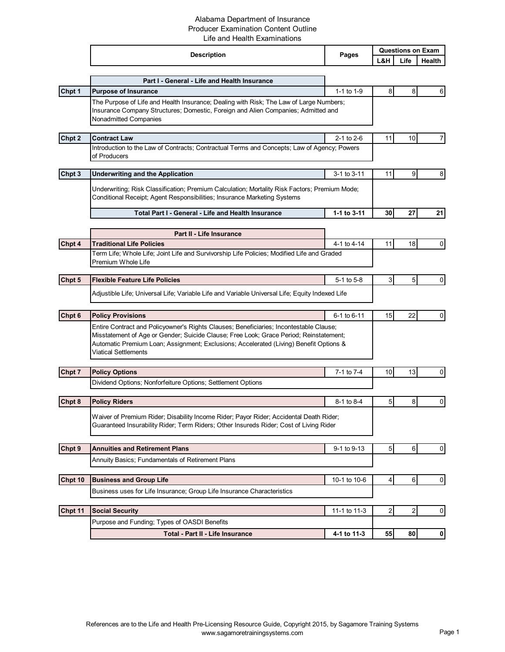## Alabama Department of Insurance Producer Examination Content Outline Life and Health Examinations

|         | <b>Description</b>                                                                                                                                                                                                                                                                                 | Pages          | <b>Questions on Exam</b> |      |                  |
|---------|----------------------------------------------------------------------------------------------------------------------------------------------------------------------------------------------------------------------------------------------------------------------------------------------------|----------------|--------------------------|------|------------------|
|         |                                                                                                                                                                                                                                                                                                    |                | L&H                      | Life | Health           |
|         |                                                                                                                                                                                                                                                                                                    |                |                          |      |                  |
|         | Part I - General - Life and Health Insurance                                                                                                                                                                                                                                                       | 1-1 to 1-9     |                          |      |                  |
| Chpt 1  | <b>Purpose of Insurance</b><br>The Purpose of Life and Health Insurance; Dealing with Risk; The Law of Large Numbers;                                                                                                                                                                              |                | 8                        | 8    | 6                |
|         | Insurance Company Structures; Domestic, Foreign and Alien Companies; Admitted and<br>Nonadmitted Companies                                                                                                                                                                                         |                |                          |      |                  |
| Chpt 2  | <b>Contract Law</b>                                                                                                                                                                                                                                                                                | 2-1 to 2-6     | 11                       | 10   | 7                |
|         | Introduction to the Law of Contracts; Contractual Terms and Concepts; Law of Agency; Powers<br>of Producers                                                                                                                                                                                        |                |                          |      |                  |
| Chpt 3  | <b>Underwriting and the Application</b>                                                                                                                                                                                                                                                            | 3-1 to 3-11    | 11                       | 9    | 8                |
|         | Underwriting; Risk Classification; Premium Calculation; Mortality Risk Factors; Premium Mode;<br>Conditional Receipt; Agent Responsibilities; Insurance Marketing Systems                                                                                                                          |                |                          |      |                  |
|         | Total Part I - General - Life and Health Insurance                                                                                                                                                                                                                                                 | 1-1 to 3-11    | 30                       | 27   | 21               |
|         | Part II - Life Insurance                                                                                                                                                                                                                                                                           |                |                          |      |                  |
| Chpt 4  | <b>Traditional Life Policies</b>                                                                                                                                                                                                                                                                   | 4-1 to 4-14    | 11                       | 18   | 0                |
|         | Term Life; Whole Life; Joint Life and Survivorship Life Policies; Modified Life and Graded<br>Premium Whole Life                                                                                                                                                                                   |                |                          |      |                  |
| Chpt 5  | <b>Flexible Feature Life Policies</b>                                                                                                                                                                                                                                                              | $5-1$ to $5-8$ | 3                        | 5    | $\mathbf 0$      |
|         | Adjustible Life; Universal Life; Variable Life and Variable Universal Life; Equity Indexed Life                                                                                                                                                                                                    |                |                          |      |                  |
| Chpt 6  | <b>Policy Provisions</b>                                                                                                                                                                                                                                                                           | 6-1 to 6-11    | 15                       | 22   | $\overline{0}$   |
|         | Entire Contract and Policyowner's Rights Clauses; Beneficiaries; Incontestable Clause;<br>Misstatement of Age or Gender; Suicide Clause; Free Look; Grace Period; Reinstatement;<br>Automatic Premium Loan; Assignment; Exclusions; Accelerated (Living) Benefit Options &<br>Viatical Settlements |                |                          |      |                  |
| Chpt 7  | <b>Policy Options</b>                                                                                                                                                                                                                                                                              | 7-1 to 7-4     | 10                       | 13   | 0                |
|         | Dividend Options; Nonforfeiture Options; Settlement Options                                                                                                                                                                                                                                        |                |                          |      |                  |
| Chpt 8  | <b>Policy Riders</b>                                                                                                                                                                                                                                                                               | 8-1 to 8-4     | 5                        | 8    | 0                |
|         | Waiver of Premium Rider; Disability Income Rider; Payor Rider; Accidental Death Rider;<br>Guaranteed Insurability Rider; Term Riders; Other Insureds Rider; Cost of Living Rider                                                                                                                   |                |                          |      |                  |
| Chpt 9  | <b>Annuities and Retirement Plans</b>                                                                                                                                                                                                                                                              | 9-1 to 9-13    | $\overline{5}$           | 6    | $\overline{0}$   |
|         | Annuity Basics; Fundamentals of Retirement Plans                                                                                                                                                                                                                                                   |                |                          |      |                  |
| Chpt 10 | <b>Business and Group Life</b>                                                                                                                                                                                                                                                                     | 10-1 to 10-6   | 4                        | 6    | $\mathbf 0$      |
|         | Business uses for Life Insurance; Group Life Insurance Characteristics                                                                                                                                                                                                                             |                |                          |      |                  |
| Chpt 11 | <b>Social Security</b>                                                                                                                                                                                                                                                                             | 11-1 to 11-3   | $\overline{c}$           | 2    | $\boldsymbol{0}$ |
|         | Purpose and Funding; Types of OASDI Benefits                                                                                                                                                                                                                                                       |                |                          |      |                  |
|         | Total - Part II - Life Insurance                                                                                                                                                                                                                                                                   | 4-1 to 11-3    | 55                       | 80   | $\mathbf{0}$     |